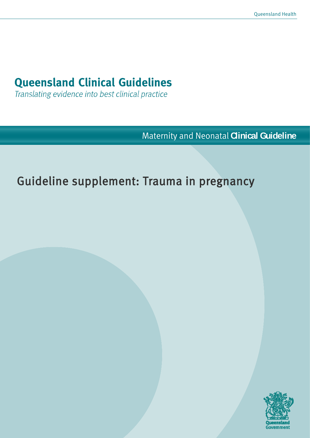# **Queensland Clinical Guidelines**

Translating evidence into best clinical practice

Maternity and Neonatal **Clinical Guideline**

# Guideline supplement: Trauma in pregnancy

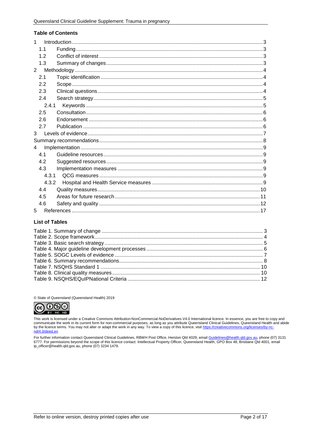#### **Table of Contents**

| 1              |  |
|----------------|--|
| 1.1            |  |
| 1.2            |  |
| 1.3            |  |
| $\overline{2}$ |  |
| 2.1            |  |
| 2.2            |  |
| 2.3            |  |
| 2.4            |  |
| 2.4.1          |  |
| 2.5            |  |
| 2.6            |  |
| 2.7            |  |
| 3              |  |
|                |  |
| 4              |  |
| 4.1            |  |
| 4.2            |  |
| 4.3            |  |
| 4.3.1          |  |
| 4.3.2          |  |
| 4.4            |  |
| 4.5            |  |
| 4.6            |  |
| 5              |  |

#### **List of Tables**

© State of Queensland (Queensland Health) 2019



This work is licensed under a Creative Commons Attribution-NonCommercial-NoDerivatives V4.0 International licence. In essence, you are free to copy and<br>communicate the work in its current form for non-commercial purposes, by the licence terms. You may not alter or adapt the work in any way. To view a copy of this licence, visit https://creativecommons.org/licenses/by-ncnd/4.0/deed.en

For further information contact Queensland Clinical Guidelines, RBWH Post Office, Herston Qld 4029, email Guidelines@health.qld.gov.au, phone (07) 3131 6777. For permissions beyond the scope of this licence contact: Intellectual Property Officer, Queensland Health, GPO Box 48, Brisbane Qld 4001, email in the leader of this licence contact: Intellectual Property Officer, Q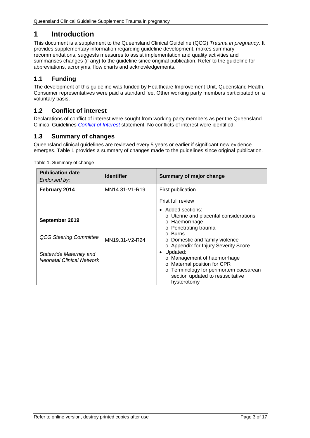# <span id="page-2-0"></span>**1 Introduction**

This document is a supplement to the Queensland Clinical Guideline (QCG) *Trauma in pregnancy.* It provides supplementary information regarding guideline development, makes summary recommendations, suggests measures to assist implementation and quality activities and summarises changes (if any) to the guideline since original publication. Refer to the guideline for abbreviations, acronyms, flow charts and acknowledgements.

## <span id="page-2-1"></span>**1.1 Funding**

The development of this guideline was funded by Healthcare Improvement Unit, Queensland Health. Consumer representatives were paid a standard fee. Other working party members participated on a voluntary basis.

## <span id="page-2-2"></span>**1.2 Conflict of interest**

Declarations of conflict of interest were sought from working party members as per the Queensland Clinical Guidelines *[Conflict of Interest](http://www.health.qld.gov.au/qcg/development#coi)* statement. No conflicts of interest were identified.

## <span id="page-2-3"></span>**1.3 Summary of changes**

Queensland clinical guidelines are reviewed every 5 years or earlier if significant new evidence emerges. [Table 1](#page-2-4) provides a summary of changes made to the guidelines since original publication.

| <b>Publication date</b><br>Endorsed by:                                                                        | <b>Identifier</b> | Summary of major change                                                                                                                                                                                                                                                                                                                                                                        |
|----------------------------------------------------------------------------------------------------------------|-------------------|------------------------------------------------------------------------------------------------------------------------------------------------------------------------------------------------------------------------------------------------------------------------------------------------------------------------------------------------------------------------------------------------|
| February 2014                                                                                                  | MN14.31-V1-R19    | First publication                                                                                                                                                                                                                                                                                                                                                                              |
| September 2019<br><b>QCG Steering Committee</b><br>Statewide Maternity and<br><b>Neonatal Clinical Network</b> | MN19.31-V2-R24    | Frist full review<br>• Added sections:<br>o Uterine and placental considerations<br>o Haemorrhage<br>o Penetrating trauma<br>o Burns<br>o Domestic and family violence<br>o Appendix for Injury Severity Score<br>Updated:<br>o Management of haemorrhage<br>o Maternal position for CPR<br>Terminology for perimortem caesarean<br>$\circ$<br>section updated to resuscitative<br>hysterotomy |

<span id="page-2-4"></span>Table 1. Summary of change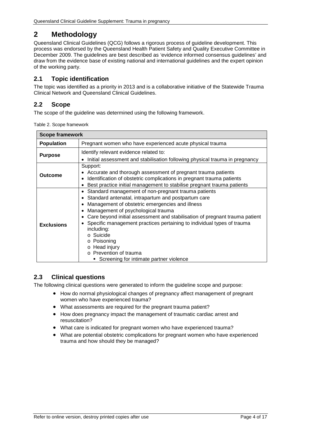# <span id="page-3-0"></span>**2 Methodology**

Queensland Clinical Guidelines (QCG) follows a rigorous process of guideline development. This process was endorsed by the Queensland Health Patient Safety and Quality Executive Committee in December 2009. The guidelines are best described as 'evidence informed consensus guidelines' and draw from the evidence base of existing national and international guidelines and the expert opinion of the working party.

## <span id="page-3-1"></span>**2.1 Topic identification**

The topic was identified as a priority in 2013 and is a collaborative initiative of the Statewide Trauma Clinical Network and Queensland Clinical Guidelines.

## <span id="page-3-2"></span>**2.2 Scope**

<span id="page-3-4"></span>The scope of the guideline was determined using the following framework.

| Table 2. Scope framework |  |
|--------------------------|--|
|--------------------------|--|

| <b>Scope framework</b> |                                                                                                                                                                                                                                                                                                                                                                                                                                                                                                |  |  |
|------------------------|------------------------------------------------------------------------------------------------------------------------------------------------------------------------------------------------------------------------------------------------------------------------------------------------------------------------------------------------------------------------------------------------------------------------------------------------------------------------------------------------|--|--|
| <b>Population</b>      | Pregnant women who have experienced acute physical trauma                                                                                                                                                                                                                                                                                                                                                                                                                                      |  |  |
| <b>Purpose</b>         | Identify relevant evidence related to:<br>Initial assessment and stabilisation following physical trauma in pregnancy                                                                                                                                                                                                                                                                                                                                                                          |  |  |
| <b>Outcome</b>         | Support:<br>Accurate and thorough assessment of pregnant trauma patients<br>Identification of obstetric complications in pregnant trauma patients<br>Best practice initial management to stabilise pregnant trauma patients                                                                                                                                                                                                                                                                    |  |  |
| <b>Exclusions</b>      | Standard management of non-pregnant trauma patients<br>Standard antenatal, intrapartum and postpartum care<br>Management of obstetric emergencies and illness<br>Management of psychological trauma<br>Care beyond initial assessment and stabilisation of pregnant trauma patient<br>Specific management practices pertaining to individual types of trauma<br>including:<br>o Suicide<br>o Poisoning<br>o Head injury<br>o Prevention of trauma<br>• Screening for intimate partner violence |  |  |

## <span id="page-3-3"></span>**2.3 Clinical questions**

The following clinical questions were generated to inform the guideline scope and purpose:

- How do normal physiological changes of pregnancy affect management of pregnant women who have experienced trauma?
- What assessments are required for the pregnant trauma patient?
- How does pregnancy impact the management of traumatic cardiac arrest and resuscitation?
- What care is indicated for pregnant women who have experienced trauma?
- What are potential obstetric complications for pregnant women who have experienced trauma and how should they be managed?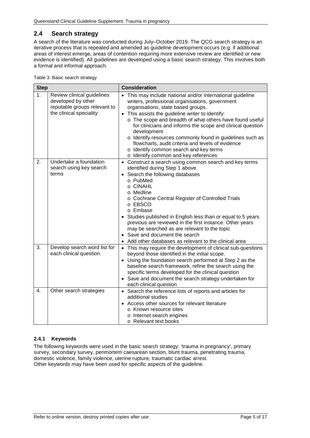## <span id="page-4-0"></span>**2.4 Search strategy**

A search of the literature was conducted during July–October 2019. The QCG search strategy is an iterative process that is repeated and amended as guideline development occurs (e.g. if additional areas of interest emerge, areas of contention requiring more extensive review are identified or new evidence is identified). All guidelines are developed using a basic search strategy. This involves both a formal and informal approach.

<span id="page-4-2"></span>

| Table 3. Basic search strategy |  |
|--------------------------------|--|
|                                |  |

| <b>Step</b>    |                                                                                                             | <b>Consideration</b>                                                                                                                                                                                                                                                                                                                                                                                                                                                                                                                               |  |  |
|----------------|-------------------------------------------------------------------------------------------------------------|----------------------------------------------------------------------------------------------------------------------------------------------------------------------------------------------------------------------------------------------------------------------------------------------------------------------------------------------------------------------------------------------------------------------------------------------------------------------------------------------------------------------------------------------------|--|--|
| 1 <sub>1</sub> | Review clinical guidelines<br>developed by other<br>reputable groups relevant to<br>the clinical speciality | This may include national and/or international guideline<br>writers, professional organisations, government<br>organisations, state based groups.<br>• This assists the guideline writer to identify:<br>o The scope and breadth of what others have found useful<br>for clinicians and informs the scope and clinical question<br>development<br>o Identify resources commonly found in guidelines such as<br>flowcharts, audit criteria and levels of evidence<br>o Identify common search and key terms<br>o Identify common and key references |  |  |
| 2.             | Undertake a foundation<br>search using key search<br>terms                                                  | • Construct a search using common search and key terms<br>identified during Step 1 above<br>• Search the following databases<br>o PubMed<br>o CINAHL<br>o Medline<br>o Cochrane Central Register of Controlled Trials<br>o EBSCO<br>o Embase<br>Studies published in English less than or equal to 5 years<br>previous are reviewed in the first instance. Other years<br>may be searched as are relevant to the topic<br>• Save and document the search<br>Add other databases as relevant to the clinical area                                   |  |  |
| 3.             | Develop search word list for<br>each clinical question.                                                     | • This may require the development of clinical sub-questions<br>beyond those identified in the initial scope.<br>• Using the foundation search performed at Step 2 as the<br>baseline search framework, refine the search using the<br>specific terms developed for the clinical question<br>• Save and document the search strategy undertaken for<br>each clinical question                                                                                                                                                                      |  |  |
| 4.             | Other search strategies                                                                                     | • Search the reference lists of reports and articles for<br>additional studies<br>Access other sources for relevant literature<br>o Known resource sites<br>o Internet search engines<br>o Relevant text books                                                                                                                                                                                                                                                                                                                                     |  |  |

#### <span id="page-4-1"></span>**2.4.1 Keywords**

The following keywords were used in the basic search strategy: 'trauma in pregnancy', primary survey, secondary survey, perimortem caesarean section, blunt trauma, penetrating trauma, domestic violence, family violence, uterine rupture, traumatic cardiac arrest. Other keywords may have been used for specific aspects of the guideline.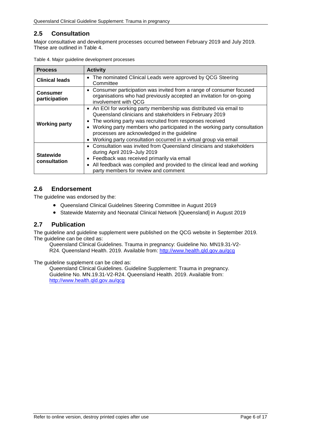## <span id="page-5-0"></span>**2.5 Consultation**

Major consultative and development processes occurred between February 2019 and July 2019. These are outlined in [Table 4.](#page-5-3)

| <b>Process</b>                   | <b>Activity</b>                                                                                                                                                                                                                                                                                                                                                                                                   |
|----------------------------------|-------------------------------------------------------------------------------------------------------------------------------------------------------------------------------------------------------------------------------------------------------------------------------------------------------------------------------------------------------------------------------------------------------------------|
| <b>Clinical leads</b>            | The nominated Clinical Leads were approved by QCG Steering<br>$\bullet$<br>Committee                                                                                                                                                                                                                                                                                                                              |
| <b>Consumer</b><br>participation | • Consumer participation was invited from a range of consumer focused<br>organisations who had previously accepted an invitation for on-going<br>involvement with QCG                                                                                                                                                                                                                                             |
| <b>Working party</b>             | • An EOI for working party membership was distributed via email to<br>Queensland clinicians and stakeholders in February 2019<br>The working party was recruited from responses received<br>Working party members who participated in the working party consultation<br>$\bullet$<br>processes are acknowledged in the guideline<br>Working party consultation occurred in a virtual group via email<br>$\bullet$ |
| <b>Statewide</b><br>consultation | Consultation was invited from Queensland clinicians and stakeholders<br>during April 2019-July 2019<br>Feedback was received primarily via email<br>All feedback was compiled and provided to the clinical lead and working<br>$\bullet$<br>party members for review and comment                                                                                                                                  |

<span id="page-5-3"></span>

#### <span id="page-5-1"></span>**2.6 Endorsement**

The guideline was endorsed by the:

- Queensland Clinical Guidelines Steering Committee in August 2019
- Statewide Maternity and Neonatal Clinical Network [Queensland] in August 2019

#### <span id="page-5-2"></span>**2.7 Publication**

The guideline and guideline supplement were published on the QCG website in September 2019. The guideline can be cited as:

Queensland Clinical Guidelines. Trauma in pregnancy: Guideline No. MN19.31-V2 R24. Queensland Health. 2019. Available from:<http://www.health.qld.gov.au/qcg>

The guideline supplement can be cited as:

Queensland Clinical Guidelines. Guideline Supplement: Trauma in pregnancy. Guideline No. MN.19.31-V2-R24. Queensland Health. 2019. Available from: <http://www.health.qld.gov.au/qcg>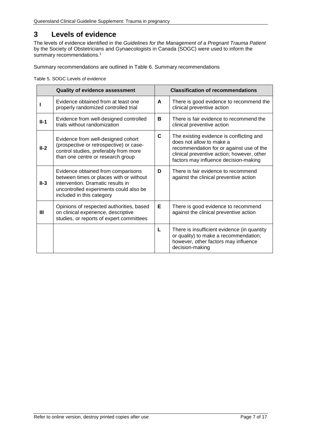## <span id="page-6-0"></span>**3 Levels of evidence**

The levels of evidence identified in the *Guidelines for the Management of a Pregnant Trauma Patient*  by the Society of Obstetricians and Gynaecologists in Canada (SOGC) were used to inform the summary recommendations.<sup>1</sup>

<span id="page-6-1"></span>Summary recommendations are outlined in [Table 6. Summary recommendations](#page-7-1)

Table 5. SOGC Levels of evidence

|        | <b>Quality of evidence assessment</b>                                                                                                                                                     |             | <b>Classification of recommendations</b>                                                                                                                                                                |
|--------|-------------------------------------------------------------------------------------------------------------------------------------------------------------------------------------------|-------------|---------------------------------------------------------------------------------------------------------------------------------------------------------------------------------------------------------|
|        | Evidence obtained from at least one<br>properly randomized controlled trial                                                                                                               | A           | There is good evidence to recommend the<br>clinical preventive action                                                                                                                                   |
| $II-1$ | Evidence from well-designed controlled<br>trials without randomization                                                                                                                    | в           | There is fair evidence to recommend the<br>clinical preventive action                                                                                                                                   |
| $II-2$ | Evidence from well-designed cohort<br>(prospective or retrospective) or case-<br>control studies, preferably from more<br>than one centre or research group                               | $\mathbf c$ | The existing evidence is conflicting and<br>does not allow to make a<br>recommendation for or against use of the<br>clinical preventive action; however, other<br>factors may influence decision-making |
| $II-3$ | Evidence obtained from comparisons<br>between times or places with or without<br>intervention. Dramatic results in<br>uncontrolled experiments could also be<br>included in this category | D           | There is fair evidence to recommend<br>against the clinical preventive action                                                                                                                           |
| Ш      | Opinions of respected authorities, based<br>on clinical experience, descriptive<br>studies, or reports of expert committees                                                               | Е           | There is good evidence to recommend<br>against the clinical preventive action                                                                                                                           |
|        |                                                                                                                                                                                           | L           | There is insufficient evidence (in quantity<br>or quality) to make a recommendation;<br>however, other factors may influence<br>decision-making                                                         |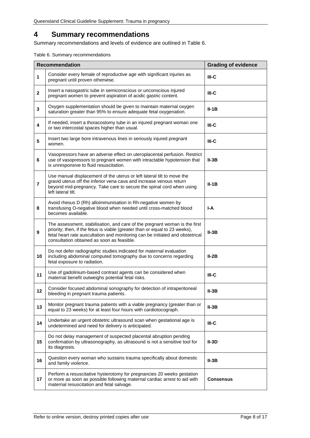# <span id="page-7-0"></span>**4 Summary recommendations**

Summary recommendations and levels of evidence are outlined in [Table 6.](#page-7-1)

<span id="page-7-1"></span>Table 6. Summary recommendations

|                | <b>Recommendation</b><br><b>Grading of evidence</b>                                                                                                                                                                                                                                      |                  |  |
|----------------|------------------------------------------------------------------------------------------------------------------------------------------------------------------------------------------------------------------------------------------------------------------------------------------|------------------|--|
| 1              | Consider every female of reproductive age with significant injuries as<br>$III-C$<br>pregnant until proven otherwise.                                                                                                                                                                    |                  |  |
| $\mathbf{2}$   | Insert a nasogastric tube in semiconscious or unconscious injured<br>pregnant women to prevent aspiration of acidic gastric content.                                                                                                                                                     | $III-C$          |  |
| $\mathbf{3}$   | Oxygen supplementation should be given to maintain maternal oxygen<br>saturation greater than 95% to ensure adequate fetal oxygenation.                                                                                                                                                  | $II-1B$          |  |
| 4              | If needed, insert a thoracostomy tube in an injured pregnant woman one<br>or two intercostal spaces higher than usual.                                                                                                                                                                   | $III-C$          |  |
| 5              | Insert two large bore intravenous lines in seriously injured pregnant<br>women.                                                                                                                                                                                                          | $III-C$          |  |
| 6              | Vasopressors have an adverse effect on uteroplacental perfusion. Restrict<br>use of vasopressors to pregnant women with intractable hypotension that<br>is unresponsive to fluid resuscitation.                                                                                          | $II-3B$          |  |
| $\overline{7}$ | Use manual displacement of the uterus or left lateral tilt to move the<br>gravid uterus off the inferior vena cava and increase venous return<br>beyond mid-pregnancy. Take care to secure the spinal cord when using<br>left lateral tilt.                                              | $II-1B$          |  |
| 8              | Avoid rhesus D (Rh) alloimmunisation in Rh-negative women by<br>transfusing O-negative blood when needed until cross-matched blood<br>becomes available.                                                                                                                                 | I-A              |  |
| 9              | The assessment, stabilisation, and care of the pregnant woman is the first<br>priority; then, if the fetus is viable (greater than or equal to 23 weeks),<br>fetal heart rate auscultation and monitoring can be initiated and obstetrical<br>consultation obtained as soon as feasible. | $II-3B$          |  |
| 10             | Do not defer radiographic studies indicated for maternal evaluation<br>including abdominal computed tomography due to concerns regarding<br>$II-2B$<br>fetal exposure to radiation.                                                                                                      |                  |  |
| 11             | Use of gadolinium-based contrast agents can be considered when<br>maternal benefit outweighs potential fetal risks.                                                                                                                                                                      | $III-C$          |  |
| 12             | Consider focused abdominal sonography for detection of intraperitoneal<br>bleeding in pregnant trauma patients.                                                                                                                                                                          | $II-3B$          |  |
| 13             | Monitor pregnant trauma patients with a viable pregnancy (greater than or<br>equal to 23 weeks) for at least four hours with cardiotocograph.                                                                                                                                            | $II-3B$          |  |
| 14             | Undertake an urgent obstetric ultrasound scan when gestational age is<br>undetermined and need for delivery is anticipated.                                                                                                                                                              | $III-C$          |  |
| 15             | Do not delay management of suspected placental abruption pending<br>confirmation by ultrasonography, as ultrasound is not a sensitive tool for<br>its diagnosis.                                                                                                                         | $II-3D$          |  |
| 16             | Question every woman who sustains trauma specifically about domestic<br>and family violence.                                                                                                                                                                                             | $II-3B$          |  |
| 17             | Perform a resuscitative hysterotomy for pregnancies 20 weeks gestation<br>or more as soon as possible following maternal cardiac arrest to aid with<br>maternal resuscitation and fetal salvage.                                                                                         | <b>Consensus</b> |  |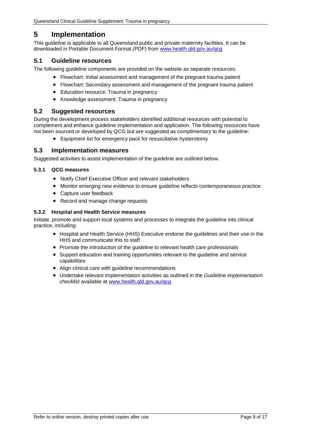## <span id="page-8-0"></span>**5 Implementation**

This guideline is applicable to all Queensland public and private maternity facilities. It can be downloaded in Portable Document Format (PDF) from [www.health.qld.gov.au/qcg](http://www.health.qld.gov.au/qcg)

### <span id="page-8-1"></span>**5.1 Guideline resources**

The following guideline components are provided on the website as separate resources:

- Flowchart: Initial assessment and management of the pregnant trauma patient
- Flowchart: Secondary assessment and management of the pregnant trauma patient
- Education resource: Trauma in pregnancy
- Knowledge assessment: Trauma in pregnancy

#### <span id="page-8-2"></span>**5.2 Suggested resources**

During the development process stakeholders identified additional resources with potential to complement and enhance guideline implementation and application. The following resources have not been sourced or developed by QCG but are suggested as complimentary to the guideline:

• Equipment list for emergency pack for resuscitative hysterotomy

#### <span id="page-8-3"></span>**5.3 Implementation measures**

Suggested activities to assist implementation of the guideline are outlined below.

#### <span id="page-8-4"></span>**5.3.1 QCG measures**

- Notify Chief Executive Officer and relevant stakeholders
- Monitor emerging new evidence to ensure guideline reflects contemporaneous practice
- Capture user feedback
- Record and manage change requests

#### <span id="page-8-5"></span>**5.3.2 Hospital and Health Service measures**

Initiate, promote and support local systems and processes to integrate the guideline into clinical practice, including:

- Hospital and Health Service (HHS) Executive endorse the guidelines and their use in the HHS and communicate this to staff
- Promote the introduction of the guideline to relevant health care professionals
- Support education and training opportunities relevant to the guideline and service capabilities
- Align clinical care with guideline recommendations
- Undertake relevant implementation activities as outlined in the *Guideline implementation checklist* available at [www.health.qld.gov.au/qcg](http://www.health.qld.gov.au/qcg)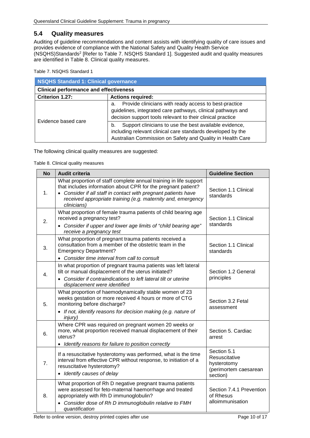#### <span id="page-9-0"></span>**5.4 Quality measures**

Auditing of guideline recommendations and content assists with identifying quality of care issues and provides evidence of compliance with the National Safety and Quality Health Service (NSQHS)Standards2 [Refer to Table 7. [NSQHS Standard 1\]](#page-9-1). Suggested audit and quality measures are identified in [Table 8. Clinical quality measures.](#page-9-2)

<span id="page-9-1"></span>Table 7. NSQHS Standard 1

| <b>NSQHS Standard 1: Clinical governance</b>  |                                                                                                                                                                                           |  |  |
|-----------------------------------------------|-------------------------------------------------------------------------------------------------------------------------------------------------------------------------------------------|--|--|
| <b>Clinical performance and effectiveness</b> |                                                                                                                                                                                           |  |  |
| Criterion 1.27:                               | <b>Actions required:</b>                                                                                                                                                                  |  |  |
|                                               | Provide clinicians with ready access to best-practice<br>a.<br>guidelines, integrated care pathways, clinical pathways and<br>decision support tools relevant to their clinical practice  |  |  |
| Evidence based care                           | Support clinicians to use the best available evidence,<br>b.<br>including relevant clinical care standards developed by the<br>Australian Commission on Safety and Quality in Health Care |  |  |

<span id="page-9-2"></span>The following clinical quality measures are suggested:

Table 8. Clinical quality measures

| <b>No</b> | <b>Audit criteria</b>                                                                                                                                                                                                                                                               | <b>Guideline Section</b>                                                         |
|-----------|-------------------------------------------------------------------------------------------------------------------------------------------------------------------------------------------------------------------------------------------------------------------------------------|----------------------------------------------------------------------------------|
| 1.        | What proportion of staff complete annual training in life support<br>that includes information about CPR for the pregnant patient?<br>• Consider if all staff in contact with pregnant patients have<br>received appropriate training (e.g. maternity and, emergency<br>clinicians) | Section 1.1 Clinical<br>standards                                                |
| 2.        | What proportion of female trauma patients of child bearing age<br>received a pregnancy test?<br>Consider if upper and lower age limits of "child bearing age"<br>receive a pregnancy test                                                                                           | Section 1.1 Clinical<br>standards                                                |
| 3.        | What proportion of pregnant trauma patients received a<br>consultation from a member of the obstetric team in the<br><b>Emergency Department?</b><br>• Consider time interval from call to consult                                                                                  | Section 1.1 Clinical<br>standards                                                |
| 4.        | In what proportion of pregnant trauma patients was left lateral<br>tilt or manual displacement of the uterus initiated?<br>Consider if contraindications to left lateral tilt or uterine<br>displacement were identified                                                            | Section 1.2 General<br>principles                                                |
| 5.        | What proportion of haemodynamically stable women of 23<br>weeks gestation or more received 4 hours or more of CTG<br>monitoring before discharge?<br>• If not, identify reasons for decision making (e.g. nature of<br><i>injury</i> )                                              | Section 3.2 Fetal<br>assessment                                                  |
| 6.        | Where CPR was required on pregnant women 20 weeks or<br>more, what proportion received manual displacement of their<br>uterus?<br>• Identify reasons for failure to position correctly                                                                                              | Section 5. Cardiac<br>arrest                                                     |
| 7.        | If a resuscitative hysterotomy was performed, what is the time<br>interval from effective CPR without response, to initiation of a<br>resuscitative hysterotomy?<br>• Identify causes of delay                                                                                      | Section 5.1<br>Resuscitative<br>hysterotomy<br>(perimortem caesarean<br>section) |
| 8.        | What proportion of Rh D negative pregnant trauma patients<br>were assessed for feto-maternal haemorrhage and treated<br>appropriately with Rh D immunoglobulin?<br>Consider dose of Rh D immunoglobulin relative to FMH<br>quantification                                           | Section 7.4.1 Prevention<br>of Rhesus<br>alloimmunisation                        |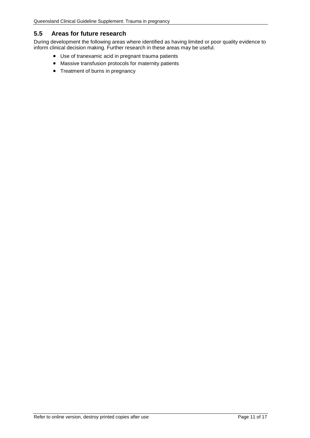#### <span id="page-10-0"></span>**5.5 Areas for future research**

During development the following areas where identified as having limited or poor quality evidence to inform clinical decision making. Further research in these areas may be useful.

- Use of tranexamic acid in pregnant trauma patients
- Massive transfusion protocols for maternity patients
- Treatment of burns in pregnancy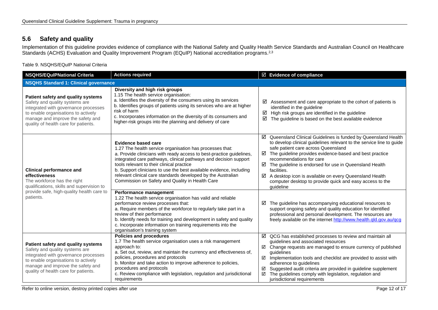## **5.6 Safety and quality**

Implementation of this guideline provides evidence of compliance with the National Safety and Quality Health Service Standards and Australian Council on Healthcare Standards (ACHS) Evaluation and Quality Improvement Program (EQuIP) National accreditation programs.<sup>2,3</sup>

Table 9. NSQHS/EQuIP National Criteria

<span id="page-11-1"></span><span id="page-11-0"></span>

| <b>NSQHS/EQuIPNational Criteria</b>                                                                                                                                                                                              | <b>Actions required</b>                                                                                                                                                                                                                                                                                                                                                                                                                                                   | ☑ Evidence of compliance                                                                                                                                                                                                                                                                                                                                                                                                                                                                             |  |  |
|----------------------------------------------------------------------------------------------------------------------------------------------------------------------------------------------------------------------------------|---------------------------------------------------------------------------------------------------------------------------------------------------------------------------------------------------------------------------------------------------------------------------------------------------------------------------------------------------------------------------------------------------------------------------------------------------------------------------|------------------------------------------------------------------------------------------------------------------------------------------------------------------------------------------------------------------------------------------------------------------------------------------------------------------------------------------------------------------------------------------------------------------------------------------------------------------------------------------------------|--|--|
| <b>NSQHS Standard 1: Clinical governance</b>                                                                                                                                                                                     |                                                                                                                                                                                                                                                                                                                                                                                                                                                                           |                                                                                                                                                                                                                                                                                                                                                                                                                                                                                                      |  |  |
| Patient safety and quality systems<br>Safety and quality systems are<br>integrated with governance processes<br>to enable organisations to actively<br>manage and improve the safety and<br>quality of health care for patients. | Diversity and high risk groups<br>1.15 The health service organisation:<br>a. Identifies the diversity of the consumers using its services<br>b. Identifies groups of patients using its services who are at higher<br>risk of harm<br>c. Incorporates information on the diversity of its consumers and<br>higher-risk groups into the planning and delivery of care                                                                                                     | Assessment and care appropriate to the cohort of patients is<br>☑<br>identified in the quideline<br>High risk groups are identified in the guideline<br>☑<br>☑<br>The guideline is based on the best available evidence                                                                                                                                                                                                                                                                              |  |  |
| <b>Clinical performance and</b><br>effectiveness<br>The workforce has the right<br>qualifications, skills and supervision to                                                                                                     | <b>Evidence based care</b><br>1.27 The health service organisation has processes that:<br>a. Provide clinicians with ready access to best-practice guidelines,<br>integrated care pathways, clinical pathways and decision support<br>tools relevant to their clinical practice<br>b. Support clinicians to use the best available evidence, including<br>relevant clinical care standards developed by the Australian<br>Commission on Safety and Quality in Health Care | ☑ Queensland Clinical Guidelines is funded by Queensland Health<br>to develop clinical guidelines relevant to the service line to guide<br>safe patient care across Queensland<br>The guideline provides evidence-based and best practice<br>☑<br>recommendations for care<br>$\boxtimes$ The guideline is endorsed for use in Queensland Health<br>facilities.<br>☑ A desktop icon is available on every Queensland Health<br>computer desktop to provide quick and easy access to the<br>guideline |  |  |
| provide safe, high-quality health care to<br>patients.                                                                                                                                                                           | Performance management<br>1.22 The health service organisation has valid and reliable<br>performance review processes that:<br>a. Require members of the workforce to regularly take part in a<br>review of their performance<br>b. Identify needs for training and development in safety and quality<br>c. Incorporate information on training requirements into the<br>organisation's training system                                                                   | The guideline has accompanying educational resources to<br>☑<br>support ongoing safety and quality education for identified<br>professional and personal development. The resources are<br>freely available on the internet http://www.health.qld.gov.au/qcg                                                                                                                                                                                                                                         |  |  |
| Patient safety and quality systems<br>Safety and quality systems are<br>integrated with governance processes<br>to enable organisations to actively<br>manage and improve the safety and<br>quality of health care for patients. | <b>Policies and procedures</b><br>1.7 The health service organisation uses a risk management<br>approach to:<br>a. Set out, review, and maintain the currency and effectiveness of,<br>policies, procedures and protocols<br>b. Monitor and take action to improve adherence to policies,<br>procedures and protocols<br>c. Review compliance with legislation, regulation and jurisdictional<br>requirements                                                             | $\boxtimes$ QCG has established processes to review and maintain all<br>guidelines and associated resources<br>☑ Change requests are managed to ensure currency of published<br>guidelines<br>Implementation tools and checklist are provided to assist with<br>☑<br>adherence to guidelines<br>Suggested audit criteria are provided in guideline supplement<br>☑<br>☑<br>The guidelines comply with legislation, regulation and<br>jurisdictional requirements                                     |  |  |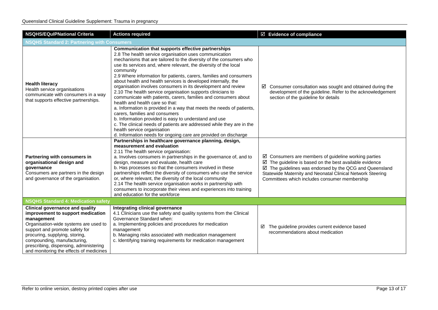| <b>NSQHS/EQulPNational Criteria</b>                                                                                                                                                                                                                                                                                        | <b>Actions required</b>                                                                                                                                                                                                                                                                                                                                                                                                                                                                                                                                                                                                                                                                                                                                                                                                                                                                                                                                                                         | $\boxtimes$ Evidence of compliance                                                                                                                                                                                                                                                                                      |  |
|----------------------------------------------------------------------------------------------------------------------------------------------------------------------------------------------------------------------------------------------------------------------------------------------------------------------------|-------------------------------------------------------------------------------------------------------------------------------------------------------------------------------------------------------------------------------------------------------------------------------------------------------------------------------------------------------------------------------------------------------------------------------------------------------------------------------------------------------------------------------------------------------------------------------------------------------------------------------------------------------------------------------------------------------------------------------------------------------------------------------------------------------------------------------------------------------------------------------------------------------------------------------------------------------------------------------------------------|-------------------------------------------------------------------------------------------------------------------------------------------------------------------------------------------------------------------------------------------------------------------------------------------------------------------------|--|
| <b>NSQHS Standard 2: Partnering with Consumers</b>                                                                                                                                                                                                                                                                         |                                                                                                                                                                                                                                                                                                                                                                                                                                                                                                                                                                                                                                                                                                                                                                                                                                                                                                                                                                                                 |                                                                                                                                                                                                                                                                                                                         |  |
| <b>Health literacy</b><br>Health service organisations<br>communicate with consumers in a way<br>that supports effective partnerships.                                                                                                                                                                                     | Communication that supports effective partnerships<br>2.8 The health service organisation uses communication<br>mechanisms that are tailored to the diversity of the consumers who<br>use its services and, where relevant, the diversity of the local<br>community<br>2.9 Where information for patients, carers, families and consumers<br>about health and health services is developed internally, the<br>organisation involves consumers in its development and review<br>2.10 The health service organisation supports clinicians to<br>communicate with patients, carers, families and consumers about<br>health and health care so that:<br>a. Information is provided in a way that meets the needs of patients,<br>carers, families and consumers<br>b. Information provided is easy to understand and use<br>c. The clinical needs of patients are addressed while they are in the<br>health service organisation<br>d. Information needs for ongoing care are provided on discharge | $\boxtimes$ Consumer consultation was sought and obtained during the<br>development of the guideline. Refer to the acknowledgement<br>section of the guideline for details                                                                                                                                              |  |
| Partnering with consumers in<br>organisational design and<br>governance<br>Consumers are partners in the design<br>and governance of the organisation.                                                                                                                                                                     | Partnerships in healthcare governance planning, design,<br>measurement and evaluation<br>2.11 The health service organisation:<br>a. Involves consumers in partnerships in the governance of, and to<br>design, measure and evaluate, health care<br>b. Has processes so that the consumers involved in these<br>partnerships reflect the diversity of consumers who use the service<br>or, where relevant, the diversity of the local community<br>2.14 The health service organisation works in partnership with<br>consumers to incorporate their views and experiences into training<br>and education for the workforce                                                                                                                                                                                                                                                                                                                                                                     | $\boxtimes$ Consumers are members of guideline working parties<br>$\boxtimes$ The guideline is based on the best available evidence<br>$\boxtimes$ The guidelines was endorsed by the QCG and Queensland<br>Statewide Maternity and Neonatal Clinical Network Steering<br>Committees which includes consumer membership |  |
| <b>NSQHS Standard 4: Medication safety</b>                                                                                                                                                                                                                                                                                 |                                                                                                                                                                                                                                                                                                                                                                                                                                                                                                                                                                                                                                                                                                                                                                                                                                                                                                                                                                                                 |                                                                                                                                                                                                                                                                                                                         |  |
| <b>Clinical governance and quality</b><br>improvement to support medication<br>management<br>Organisation-wide systems are used to<br>support and promote safety for<br>procuring, supplying, storing,<br>compounding, manufacturing,<br>prescribing, dispensing, administering<br>and monitoring the effects of medicines | Integrating clinical governance<br>4.1 Clinicians use the safety and quality systems from the Clinical<br>Governance Standard when:<br>a. Implementing policies and procedures for medication<br>management<br>b. Managing risks associated with medication management<br>c. Identifying training requirements for medication management                                                                                                                                                                                                                                                                                                                                                                                                                                                                                                                                                                                                                                                        | The guideline provides current evidence based<br>☑<br>recommendations about medication                                                                                                                                                                                                                                  |  |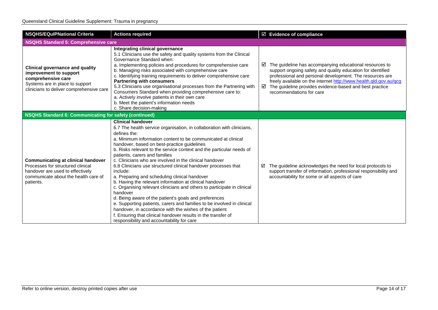| <b>NSQHS/EQuIPNational Criteria</b>                                                                                                                                     | <b>Actions required</b>                                                                                                                                                                                                                                                                                                                                                                                                                                                                                                                                                                                                                                                                                                                                                                                                                                                                                                                                                                             | $\boxtimes$ Evidence of compliance                                                                                                                                                                                                                                                                                                                                     |  |
|-------------------------------------------------------------------------------------------------------------------------------------------------------------------------|-----------------------------------------------------------------------------------------------------------------------------------------------------------------------------------------------------------------------------------------------------------------------------------------------------------------------------------------------------------------------------------------------------------------------------------------------------------------------------------------------------------------------------------------------------------------------------------------------------------------------------------------------------------------------------------------------------------------------------------------------------------------------------------------------------------------------------------------------------------------------------------------------------------------------------------------------------------------------------------------------------|------------------------------------------------------------------------------------------------------------------------------------------------------------------------------------------------------------------------------------------------------------------------------------------------------------------------------------------------------------------------|--|
| <b>NSQHS Standard 5: Comprehensive care</b>                                                                                                                             |                                                                                                                                                                                                                                                                                                                                                                                                                                                                                                                                                                                                                                                                                                                                                                                                                                                                                                                                                                                                     |                                                                                                                                                                                                                                                                                                                                                                        |  |
| <b>Clinical governance and quality</b><br>improvement to support<br>comprehensive care<br>Systems are in place to support<br>clinicians to deliver comprehensive care   | Integrating clinical governance<br>5.1 Clinicians use the safety and quality systems from the Clinical<br>Governance Standard when:<br>a. Implementing policies and procedures for comprehensive care<br>b. Managing risks associated with comprehensive care<br>c. Identifying training requirements to deliver comprehensive care<br><b>Partnering with consumers</b><br>5.3 Clinicians use organisational processes from the Partnering with<br>Consumers Standard when providing comprehensive care to:<br>a. Actively involve patients in their own care<br>b. Meet the patient's information needs<br>c. Share decision-making                                                                                                                                                                                                                                                                                                                                                                | $\boxtimes$ The guideline has accompanying educational resources to<br>support ongoing safety and quality education for identified<br>professional and personal development. The resources are<br>freely available on the internet http://www.health.qld.gov.au/qcg<br>$\boxtimes$ The guideline provides evidence-based and best practice<br>recommendations for care |  |
| <b>NSQHS Standard 6: Communicating for safety (continued)</b>                                                                                                           |                                                                                                                                                                                                                                                                                                                                                                                                                                                                                                                                                                                                                                                                                                                                                                                                                                                                                                                                                                                                     |                                                                                                                                                                                                                                                                                                                                                                        |  |
| <b>Communicating at clinical handover</b><br>Processes for structured clinical<br>handover are used to effectively<br>communicate about the health care of<br>patients. | <b>Clinical handover</b><br>6.7 The health service organisation, in collaboration with clinicians,<br>defines the:<br>a. Minimum information content to be communicated at clinical<br>handover, based on best-practice guidelines<br>b. Risks relevant to the service context and the particular needs of<br>patients, carers and families<br>c. Clinicians who are involved in the clinical handover<br>6.8 Clinicians use structured clinical handover processes that<br>include:<br>a. Preparing and scheduling clinical handover<br>b. Having the relevant information at clinical handover<br>c. Organising relevant clinicians and others to participate in clinical<br>handover<br>d. Being aware of the patient's goals and preferences<br>e. Supporting patients, carers and families to be involved in clinical<br>handover, in accordance with the wishes of the patient<br>f. Ensuring that clinical handover results in the transfer of<br>responsibility and accountability for care | The guideline acknowledges the need for local protocols to<br>☑<br>support transfer of information, professional responsibility and<br>accountability for some or all aspects of care                                                                                                                                                                                  |  |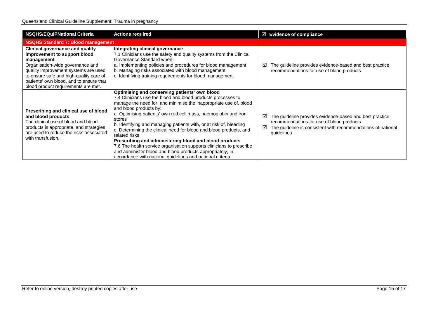| <b>NSQHS/EQuIPNational Criteria</b>                                                                                                                                                                                                                                                           | <b>Actions required</b>                                                                                                                                                                                                                                                                                                                                                                                                                                                                                                                                                                                                                                                                                            | $\boxtimes$ Evidence of compliance |                                                                                                                                                                      |
|-----------------------------------------------------------------------------------------------------------------------------------------------------------------------------------------------------------------------------------------------------------------------------------------------|--------------------------------------------------------------------------------------------------------------------------------------------------------------------------------------------------------------------------------------------------------------------------------------------------------------------------------------------------------------------------------------------------------------------------------------------------------------------------------------------------------------------------------------------------------------------------------------------------------------------------------------------------------------------------------------------------------------------|------------------------------------|----------------------------------------------------------------------------------------------------------------------------------------------------------------------|
| <b>NSQHS Standard 7: Blood management</b>                                                                                                                                                                                                                                                     |                                                                                                                                                                                                                                                                                                                                                                                                                                                                                                                                                                                                                                                                                                                    |                                    |                                                                                                                                                                      |
| <b>Clinical governance and quality</b><br>improvement to support blood<br>management<br>Organisation-wide governance and<br>quality improvement systems are used<br>to ensure safe and high-quality care of<br>patients' own blood, and to ensure that<br>blood product requirements are met. | Integrating clinical governance<br>7.1 Clinicians use the safety and quality systems from the Clinical<br>Governance Standard when:<br>a. Implementing policies and procedures for blood management<br>b. Managing risks associated with blood management<br>c. Identifying training requirements for blood management                                                                                                                                                                                                                                                                                                                                                                                             | ⊻                                  | The guideline provides evidence-based and best practice<br>recommendations for use of blood products                                                                 |
| Prescribing and clinical use of blood<br>and blood products<br>The clinical use of blood and blood<br>products is appropriate, and strategies<br>are used to reduce the risks associated<br>with transfusion.                                                                                 | Optimising and conserving patients' own blood<br>7.4 Clinicians use the blood and blood products processes to<br>manage the need for, and minimise the inappropriate use of, blood<br>and blood products by:<br>a. Optimising patients' own red cell mass, haemoglobin and iron<br>stores<br>b. Identifying and managing patients with, or at risk of, bleeding<br>c. Determining the clinical need for blood and blood products, and<br>related risks<br>Prescribing and administering blood and blood products<br>7.6 The health service organisation supports clinicians to prescribe<br>and administer blood and blood products appropriately, in<br>accordance with national guidelines and national criteria | ☑<br>☑<br>guidelines               | The guideline provides evidence-based and best practice<br>recommendations for use of blood products<br>The guideline is consistent with recommendations of national |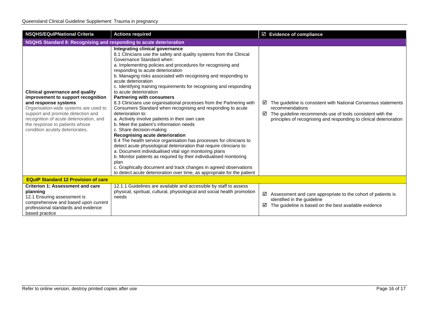| <b>NSQHS/EQuIPNational Criteria</b>                                                                                                                                                                                                                                                                | <b>Actions required</b>                                                                                                                                                                                                                                                                                                                                                                                                                                                                                                                                                                                                                                                                                                                                                                                                                                                                                                                                                                                                                                                                                                                                                                                                              | $\boxtimes$ Evidence of compliance                                                                                                                                                                                                    |  |
|----------------------------------------------------------------------------------------------------------------------------------------------------------------------------------------------------------------------------------------------------------------------------------------------------|--------------------------------------------------------------------------------------------------------------------------------------------------------------------------------------------------------------------------------------------------------------------------------------------------------------------------------------------------------------------------------------------------------------------------------------------------------------------------------------------------------------------------------------------------------------------------------------------------------------------------------------------------------------------------------------------------------------------------------------------------------------------------------------------------------------------------------------------------------------------------------------------------------------------------------------------------------------------------------------------------------------------------------------------------------------------------------------------------------------------------------------------------------------------------------------------------------------------------------------|---------------------------------------------------------------------------------------------------------------------------------------------------------------------------------------------------------------------------------------|--|
| NSQHS Standard 8: Recognising and responding to acute deterioration                                                                                                                                                                                                                                |                                                                                                                                                                                                                                                                                                                                                                                                                                                                                                                                                                                                                                                                                                                                                                                                                                                                                                                                                                                                                                                                                                                                                                                                                                      |                                                                                                                                                                                                                                       |  |
| <b>Clinical governance and quality</b><br>improvement to support recognition<br>and response systems<br>Organisation-wide systems are used to<br>support and promote detection and<br>recognition of acute deterioration, and<br>the response to patients whose<br>condition acutely deteriorates. | Integrating clinical governance<br>8.1 Clinicians use the safety and quality systems from the Clinical<br>Governance Standard when:<br>a. Implementing policies and procedures for recognising and<br>responding to acute deterioration<br>b. Managing risks associated with recognising and responding to<br>acute deterioration<br>c. Identifying training requirements for recognising and responding<br>to acute deterioration<br><b>Partnering with consumers</b><br>8.3 Clinicians use organisational processes from the Partnering with<br>Consumers Standard when recognising and responding to acute<br>deterioration to:<br>a. Actively involve patients in their own care<br>b. Meet the patient's information needs<br>c. Share decision-making<br>Recognising acute deterioration<br>8.4 The health service organisation has processes for clinicians to<br>detect acute physiological deterioration that require clinicians to:<br>a. Document individualised vital sign monitoring plans<br>b. Monitor patients as required by their individualised monitoring<br>plan<br>c. Graphically document and track changes in agreed observations<br>to detect acute deterioration over time, as appropriate for the patient | The guideline is consistent with National Consensus statements<br>☑<br>recommendations<br>$\boxtimes$ The guideline recommends use of tools consistent with the<br>principles of recognising and responding to clinical deterioration |  |
| <b>EQuIP Standard 12 Provision of care</b>                                                                                                                                                                                                                                                         |                                                                                                                                                                                                                                                                                                                                                                                                                                                                                                                                                                                                                                                                                                                                                                                                                                                                                                                                                                                                                                                                                                                                                                                                                                      |                                                                                                                                                                                                                                       |  |
| <b>Criterion 1: Assessment and care</b><br>planning<br>12.1 Ensuring assessment is<br>comprehensive and based upon current<br>professional standards and evidence<br>based practice                                                                                                                | 12.1.1 Guidelines are available and accessible by staff to assess<br>physical, spiritual, cultural, physiological and social health promotion<br>needs                                                                                                                                                                                                                                                                                                                                                                                                                                                                                                                                                                                                                                                                                                                                                                                                                                                                                                                                                                                                                                                                               | ☑<br>Assessment and care appropriate to the cohort of patients is<br>identified in the quideline<br>☑<br>The guideline is based on the best available evidence                                                                        |  |